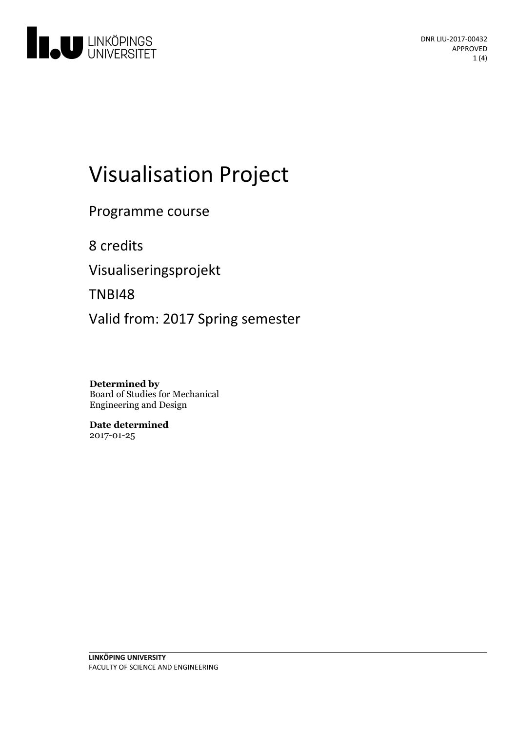

# Visualisation Project

Programme course

8 credits

Visualiseringsprojekt

TNBI48

Valid from: 2017 Spring semester

**Determined by** Board of Studies for Mechanical Engineering and Design

**Date determined** 2017-01-25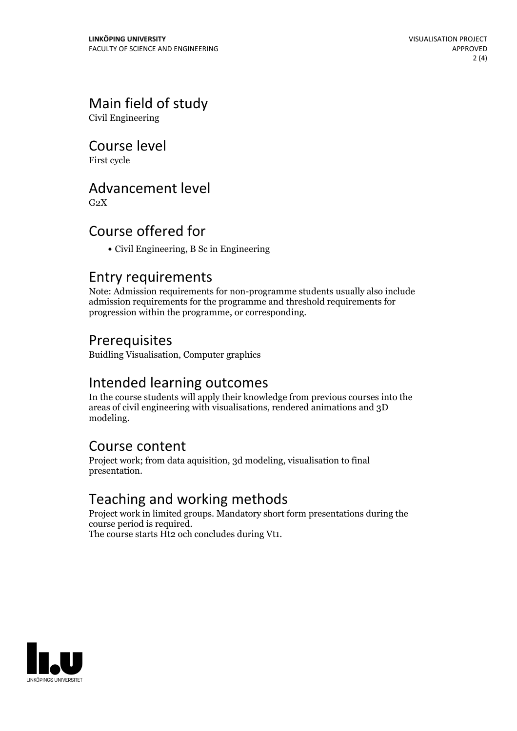### Main field of study

Civil Engineering

Course level

First cycle

#### Advancement level

 $G<sub>2</sub>X$ 

#### Course offered for

Civil Engineering, B Sc in Engineering

#### Entry requirements

Note: Admission requirements for non-programme students usually also include admission requirements for the programme and threshold requirements for progression within the programme, or corresponding.

#### Prerequisites

Buidling Visualisation, Computer graphics

#### Intended learning outcomes

In the course students will apply their knowledge from previous courses into the areas of civil engineering with visualisations, rendered animations and 3D modeling.

#### Course content

Project work; from data aquisition, 3d modeling, visualisation to final presentation.

#### Teaching and working methods

Project work in limited groups. Mandatory short form presentations during the course period is required. The course starts Ht2 och concludes during Vt1.

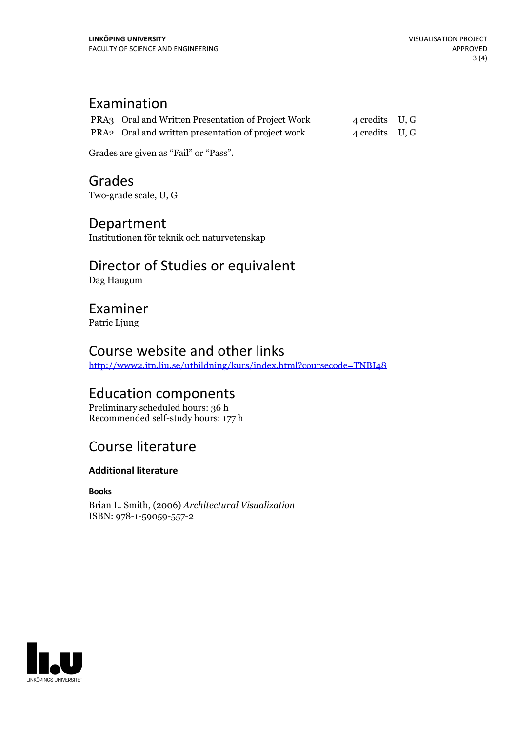#### Examination

| PRA3 Oral and Written Presentation of Project Work | 4 credits U, G |  |
|----------------------------------------------------|----------------|--|
| PRA2 Oral and written presentation of project work | 4 credits U, G |  |

Grades are given as"Fail" or "Pass".

Grades Two-grade scale, U, G

#### Department

Institutionen för teknik och naturvetenskap

## Director of Studies or equivalent

Dag Haugum

#### Examiner

Patric Ljung

#### Course website and other links

<http://www2.itn.liu.se/utbildning/kurs/index.html?coursecode=TNBI48>

#### Education components

Preliminary scheduled hours: 36 h Recommended self-study hours: 177 h

#### Course literature

#### **Additional literature**

**Books**

Brian L. Smith, (2006) *Architectural Visualization* ISBN: 978-1-59059-557-2